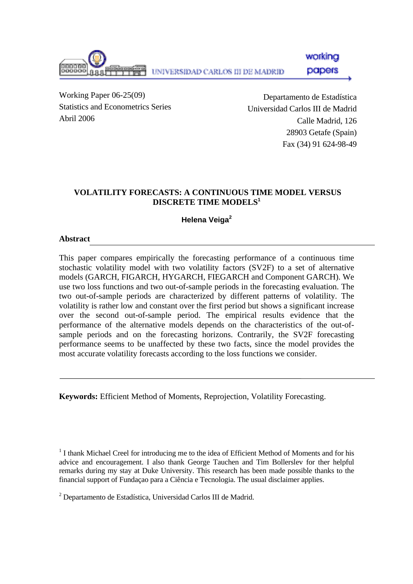working papers UNIVERSIDAD CARLOS III DE MADRID

Working Paper 06-25(09) Statistics and Econometrics Series Abril 2006

Departamento de Estadística Universidad Carlos III de Madrid Calle Madrid, 126 28903 Getafe (Spain) Fax (34) 91 624-98-49

## **VOLATILITY FORECASTS: A CONTINUOUS TIME MODEL VERSUS DISCRETE TIME MODELS<sup>1</sup>**

## **Helena Veiga<sup>2</sup>**

## **Abstract**

This paper compares empirically the forecasting performance of a continuous time stochastic volatility model with two volatility factors (SV2F) to a set of alternative models (GARCH, FIGARCH, HYGARCH, FIEGARCH and Component GARCH). We use two loss functions and two out-of-sample periods in the forecasting evaluation. The two out-of-sample periods are characterized by different patterns of volatility. The volatility is rather low and constant over the first period but shows a significant increase over the second out-of-sample period. The empirical results evidence that the performance of the alternative models depends on the characteristics of the out-ofsample periods and on the forecasting horizons. Contrarily, the SV2F forecasting performance seems to be unaffected by these two facts, since the model provides the most accurate volatility forecasts according to the loss functions we consider.

**Keywords:** Efficient Method of Moments, Reprojection, Volatility Forecasting.

<sup>1</sup> I thank Michael Creel for introducing me to the idea of Efficient Method of Moments and for his advice and encouragement. I also thank George Tauchen and Tim Bollerslev for ther helpful remarks during my stay at Duke University. This research has been made possible thanks to the financial support of Fundaçao para a Ciência e Tecnologia. The usual disclaimer applies.

<sup>2</sup> Departamento de Estadística, Universidad Carlos III de Madrid.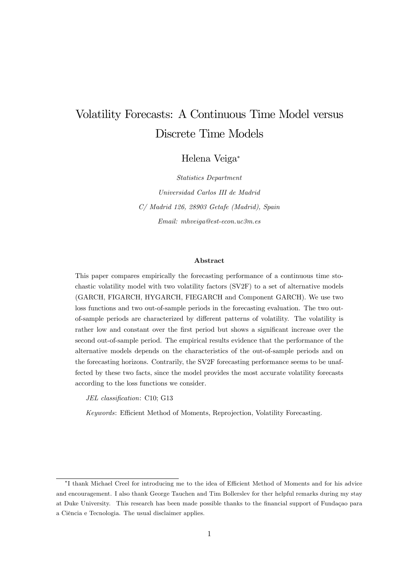# Volatility Forecasts: A Continuous Time Model versus Discrete Time Models

Helena Veiga<sup>∗</sup>

Statistics Department Universidad Carlos III de Madrid C/ Madrid 126, 28903 Getafe (Madrid), Spain Email: mhveiga@est-econ.uc3m.es

#### Abstract

This paper compares empirically the forecasting performance of a continuous time stochastic volatility model with two volatility factors (SV2F) to a set of alternative models (GARCH, FIGARCH, HYGARCH, FIEGARCH and Component GARCH). We use two loss functions and two out-of-sample periods in the forecasting evaluation. The two outof-sample periods are characterized by different patterns of volatility. The volatility is rather low and constant over the first period but shows a significant increase over the second out-of-sample period. The empirical results evidence that the performance of the alternative models depends on the characteristics of the out-of-sample periods and on the forecasting horizons. Contrarily, the SV2F forecasting performance seems to be unaffected by these two facts, since the model provides the most accurate volatility forecasts according to the loss functions we consider.

JEL classification: C10; G13

Keywords: Efficient Method of Moments, Reprojection, Volatility Forecasting.

<sup>∗</sup>I thank Michael Creel for introducing me to the idea of Efficient Method of Moments and for his advice and encouragement. I also thank George Tauchen and Tim Bollerslev for ther helpful remarks during my stay at Duke University. This research has been made possible thanks to the financial support of Fundaçao para a Ciência e Tecnologia. The usual disclaimer applies.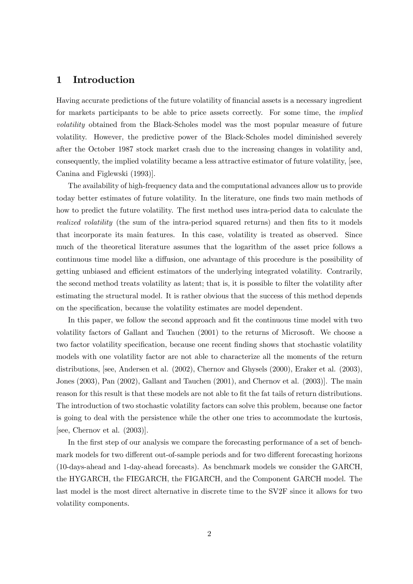## 1 Introduction

Having accurate predictions of the future volatility of financial assets is a necessary ingredient for markets participants to be able to price assets correctly. For some time, the *implied* volatility obtained from the Black-Scholes model was the most popular measure of future volatility. However, the predictive power of the Black-Scholes model diminished severely after the October 1987 stock market crash due to the increasing changes in volatility and, consequently, the implied volatility became a less attractive estimator of future volatility, [see, Canina and Figlewski (1993)].

The availability of high-frequency data and the computational advances allow us to provide today better estimates of future volatility. In the literature, one finds two main methods of how to predict the future volatility. The first method uses intra-period data to calculate the realized volatility (the sum of the intra-period squared returns) and then fits to it models that incorporate its main features. In this case, volatility is treated as observed. Since much of the theoretical literature assumes that the logarithm of the asset price follows a continuous time model like a diffusion, one advantage of this procedure is the possibility of getting unbiased and efficient estimators of the underlying integrated volatility. Contrarily, the second method treats volatility as latent; that is, it is possible to filter the volatility after estimating the structural model. It is rather obvious that the success of this method depends on the specification, because the volatility estimates are model dependent.

In this paper, we follow the second approach and fit the continuous time model with two volatility factors of Gallant and Tauchen (2001) to the returns of Microsoft. We choose a two factor volatility specification, because one recent finding shows that stochastic volatility models with one volatility factor are not able to characterize all the moments of the return distributions, [see, Andersen et al. (2002), Chernov and Ghysels (2000), Eraker et al. (2003), Jones (2003), Pan (2002), Gallant and Tauchen (2001), and Chernov et al. (2003)]. The main reason for this result is that these models are not able to fit the fat tails of return distributions. The introduction of two stochastic volatility factors can solve this problem, because one factor is going to deal with the persistence while the other one tries to accommodate the kurtosis, [see, Chernov et al. (2003)].

In the first step of our analysis we compare the forecasting performance of a set of benchmark models for two different out-of-sample periods and for two different forecasting horizons (10-days-ahead and 1-day-ahead forecasts). As benchmark models we consider the GARCH, the HYGARCH, the FIEGARCH, the FIGARCH, and the Component GARCH model. The last model is the most direct alternative in discrete time to the SV2F since it allows for two volatility components.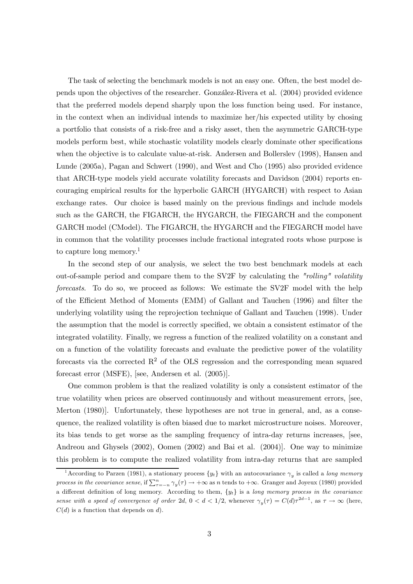The task of selecting the benchmark models is not an easy one. Often, the best model depends upon the objectives of the researcher. González-Rivera et al. (2004) provided evidence that the preferred models depend sharply upon the loss function being used. For instance, in the context when an individual intends to maximize her/his expected utility by chosing a portfolio that consists of a risk-free and a risky asset, then the asymmetric GARCH-type models perform best, while stochastic volatility models clearly dominate other specifications when the objective is to calculate value-at-risk. Andersen and Bollerslev (1998), Hansen and Lunde (2005a), Pagan and Schwert (1990), and West and Cho (1995) also provided evidence that ARCH-type models yield accurate volatility forecasts and Davidson (2004) reports encouraging empirical results for the hyperbolic GARCH (HYGARCH) with respect to Asian exchange rates. Our choice is based mainly on the previous findings and include models such as the GARCH, the FIGARCH, the HYGARCH, the FIEGARCH and the component GARCH model (CModel). The FIGARCH, the HYGARCH and the FIEGARCH model have in common that the volatility processes include fractional integrated roots whose purpose is to capture long memory.<sup>1</sup>

In the second step of our analysis, we select the two best benchmark models at each out-of-sample period and compare them to the SV2F by calculating the "rolling" volatility forecasts. To do so, we proceed as follows: We estimate the SV2F model with the help of the Efficient Method of Moments (EMM) of Gallant and Tauchen (1996) and filter the underlying volatility using the reprojection technique of Gallant and Tauchen (1998). Under the assumption that the model is correctly specified, we obtain a consistent estimator of the integrated volatility. Finally, we regress a function of the realized volatility on a constant and on a function of the volatility forecasts and evaluate the predictive power of the volatility forecasts via the corrected  $R^2$  of the OLS regression and the corresponding mean squared forecast error (MSFE), [see, Andersen et al. (2005)].

One common problem is that the realized volatility is only a consistent estimator of the true volatility when prices are observed continuously and without measurement errors, [see, Merton (1980)]. Unfortunately, these hypotheses are not true in general, and, as a consequence, the realized volatility is often biased due to market microstructure noises. Moreover, its bias tends to get worse as the sampling frequency of intra-day returns increases, [see, Andreou and Ghysels (2002), Oomen (2002) and Bai et al. (2004)]. One way to minimize this problem is to compute the realized volatility from intra-day returns that are sampled

<sup>&</sup>lt;sup>1</sup> According to Parzen (1981), a stationary process  $\{y_t\}$  with an autocovariance  $\gamma_y$  is called a long memory process in the covariance sense, if  $\sum_{\tau=-n}^{n} \gamma_y(\tau) \to +\infty$  as n tends to  $+\infty$ . Granger and Joyeux (1980) provided a different definition of long memory. According to them,  $\{y_t\}$  is a long memory process in the covariance sense with a speed of convergence of order 2d,  $0 < d < 1/2$ , whenever  $\gamma_u(\tau) = C(d)\tau^{2d-1}$ , as  $\tau \to \infty$  (here,  $C(d)$  is a function that depends on d).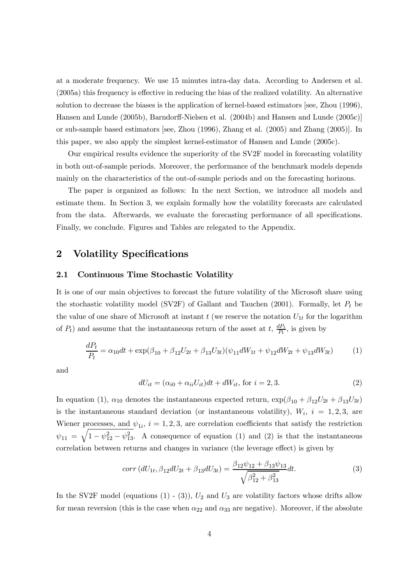at a moderate frequency. We use 15 minutes intra-day data. According to Andersen et al. (2005a) this frequency is effective in reducing the bias of the realized volatility. An alternative solution to decrease the biases is the application of kernel-based estimators [see, Zhou (1996), Hansen and Lunde (2005b), Barndorff-Nielsen et al. (2004b) and Hansen and Lunde (2005c)] or sub-sample based estimators [see, Zhou (1996), Zhang et al. (2005) and Zhang (2005)]. In this paper, we also apply the simplest kernel-estimator of Hansen and Lunde (2005c).

Our empirical results evidence the superiority of the SV2F model in forecasting volatility in both out-of-sample periods. Moreover, the performance of the benchmark models depends mainly on the characteristics of the out-of-sample periods and on the forecasting horizons.

The paper is organized as follows: In the next Section, we introduce all models and estimate them. In Section 3, we explain formally how the volatility forecasts are calculated from the data. Afterwards, we evaluate the forecasting performance of all specifications. Finally, we conclude. Figures and Tables are relegated to the Appendix.

# 2 Volatility Specifications

#### 2.1 Continuous Time Stochastic Volatility

It is one of our main objectives to forecast the future volatility of the Microsoft share using the stochastic volatility model (SV2F) of Gallant and Tauchen (2001). Formally, let  $P_t$  be the value of one share of Microsoft at instant  $t$  (we reserve the notation  $U_{1t}$  for the logarithm of  $P_t$ ) and assume that the instantaneous return of the asset at  $t$ ,  $\frac{dP_t}{P_t}$ , is given by

$$
\frac{dP_t}{P_t} = \alpha_{10}dt + \exp(\beta_{10} + \beta_{12}U_{2t} + \beta_{13}U_{3t})(\psi_{11}dW_{1t} + \psi_{12}dW_{2t} + \psi_{13}dW_{3t})
$$
(1)

and

$$
dU_{it} = (\alpha_{i0} + \alpha_{ii} U_{it})dt + dW_{it}, \text{ for } i = 2, 3.
$$
 (2)

In equation (1),  $\alpha_{10}$  denotes the instantaneous expected return,  $\exp(\beta_{10} + \beta_{12}U_{2t} + \beta_{13}U_{3t})$ is the instantaneous standard deviation (or instantaneous volatility),  $W_i$ ,  $i = 1, 2, 3$ , are Wiener processes, and  $\psi_{1i}$ ,  $i = 1, 2, 3$ , are correlation coefficients that satisfy the restriction  $\psi_{11} = \sqrt{1 - \psi_{12}^2 - \psi_{13}^2}$ . A consequence of equation (1) and (2) is that the instantaneous correlation between returns and changes in variance (the leverage effect) is given by

$$
corr (dU_{1t}, \beta_{12} dU_{2t} + \beta_{13} dU_{3t}) = \frac{\beta_{12}\psi_{12} + \beta_{13}\psi_{13}}{\sqrt{\beta_{12}^2 + \beta_{13}^2}} dt.
$$
 (3)

In the SV2F model (equations  $(1)$  -  $(3)$ ),  $U_2$  and  $U_3$  are volatility factors whose drifts allow for mean reversion (this is the case when  $\alpha_{22}$  and  $\alpha_{33}$  are negative). Moreover, if the absolute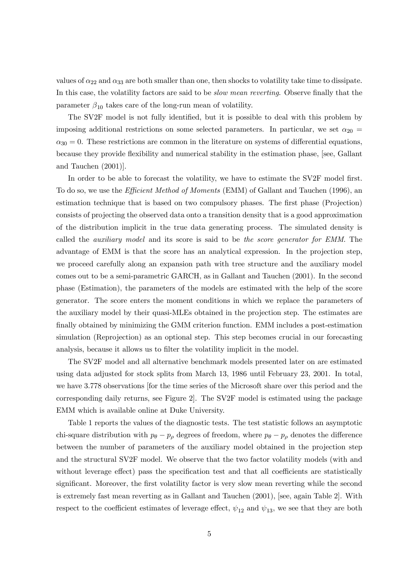values of  $\alpha_{22}$  and  $\alpha_{33}$  are both smaller than one, then shocks to volatility take time to dissipate. In this case, the volatility factors are said to be *slow mean reverting*. Observe finally that the parameter  $\beta_{10}$  takes care of the long-run mean of volatility.

The SV2F model is not fully identified, but it is possible to deal with this problem by imposing additional restrictions on some selected parameters. In particular, we set  $\alpha_{20} =$  $\alpha_{30} = 0$ . These restrictions are common in the literature on systems of differential equations, because they provide flexibility and numerical stability in the estimation phase, [see, Gallant and Tauchen (2001)].

In order to be able to forecast the volatility, we have to estimate the SV2F model first. To do so, we use the Efficient Method of Moments (EMM) of Gallant and Tauchen (1996), an estimation technique that is based on two compulsory phases. The first phase (Projection) consists of projecting the observed data onto a transition density that is a good approximation of the distribution implicit in the true data generating process. The simulated density is called the auxiliary model and its score is said to be the score generator for EMM. The advantage of EMM is that the score has an analytical expression. In the projection step, we proceed carefully along an expansion path with tree structure and the auxiliary model comes out to be a semi-parametric GARCH, as in Gallant and Tauchen (2001). In the second phase (Estimation), the parameters of the models are estimated with the help of the score generator. The score enters the moment conditions in which we replace the parameters of the auxiliary model by their quasi-MLEs obtained in the projection step. The estimates are finally obtained by minimizing the GMM criterion function. EMM includes a post-estimation simulation (Reprojection) as an optional step. This step becomes crucial in our forecasting analysis, because it allows us to filter the volatility implicit in the model.

The SV2F model and all alternative benchmark models presented later on are estimated using data adjusted for stock splits from March 13, 1986 until February 23, 2001. In total, we have 3.778 observations [for the time series of the Microsoft share over this period and the corresponding daily returns, see Figure 2]. The SV2F model is estimated using the package EMM which is available online at Duke University.

Table 1 reports the values of the diagnostic tests. The test statistic follows an asymptotic chi-square distribution with  $p_{\theta} - p_{\rho}$  degrees of freedom, where  $p_{\theta} - p_{\rho}$  denotes the difference between the number of parameters of the auxiliary model obtained in the projection step and the structural SV2F model. We observe that the two factor volatility models (with and without leverage effect) pass the specification test and that all coefficients are statistically significant. Moreover, the first volatility factor is very slow mean reverting while the second is extremely fast mean reverting as in Gallant and Tauchen (2001), [see, again Table 2]. With respect to the coefficient estimates of leverage effect,  $\psi_{12}$  and  $\psi_{13}$ , we see that they are both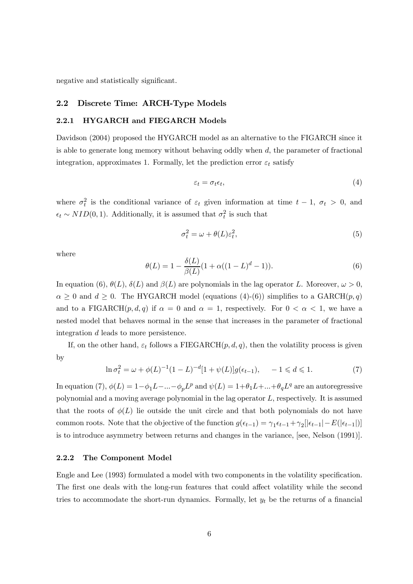negative and statistically significant.

## 2.2 Discrete Time: ARCH-Type Models

#### 2.2.1 HYGARCH and FIEGARCH Models

Davidson (2004) proposed the HYGARCH model as an alternative to the FIGARCH since it is able to generate long memory without behaving oddly when  $d$ , the parameter of fractional integration, approximates 1. Formally, let the prediction error  $\varepsilon_t$  satisfy

$$
\varepsilon_t = \sigma_t \epsilon_t,\tag{4}
$$

where  $\sigma_t^2$  is the conditional variance of  $\varepsilon_t$  given information at time  $t-1$ ,  $\sigma_t > 0$ , and  $\epsilon_t \sim NID(0, 1)$ . Additionally, it is assumed that  $\sigma_t^2$  is such that

$$
\sigma_t^2 = \omega + \theta(L)\varepsilon_t^2,\tag{5}
$$

where

$$
\theta(L) = 1 - \frac{\delta(L)}{\beta(L)} (1 + \alpha((1 - L)^d - 1)).
$$
\n(6)

In equation (6),  $\theta(L)$ ,  $\delta(L)$  and  $\beta(L)$  are polynomials in the lag operator L. Moreover,  $\omega > 0$ ,  $\alpha \geq 0$  and  $d \geq 0$ . The HYGARCH model (equations (4)-(6)) simplifies to a GARCH(p,q) and to a FIGARCH $(p, d, q)$  if  $\alpha = 0$  and  $\alpha = 1$ , respectively. For  $0 < \alpha < 1$ , we have a nested model that behaves normal in the sense that increases in the parameter of fractional integration d leads to more persistence.

If, on the other hand,  $\varepsilon_t$  follows a FIEGARCH $(p, d, q)$ , then the volatility process is given by

$$
\ln \sigma_t^2 = \omega + \phi(L)^{-1} (1 - L)^{-d} [1 + \psi(L)] g(\epsilon_{t-1}), \quad -1 \leq d \leq 1. \tag{7}
$$

In equation (7),  $\phi(L)=1-\phi_1L-\ldots-\phi_pL^p$  and  $\psi(L)=1+\theta_1L+\ldots+\theta_qL^q$  are an autoregressive polynomial and a moving average polynomial in the lag operator L, respectively. It is assumed that the roots of  $\phi(L)$  lie outside the unit circle and that both polynomials do not have common roots. Note that the objective of the function  $g(\epsilon_{t-1}) = \gamma_1 \epsilon_{t-1} + \gamma_2 [|\epsilon_{t-1}| - E(|\epsilon_{t-1}|)]$ is to introduce asymmetry between returns and changes in the variance, [see, Nelson (1991)].

#### 2.2.2 The Component Model

Engle and Lee (1993) formulated a model with two components in the volatility specification. The first one deals with the long-run features that could affect volatility while the second tries to accommodate the short-run dynamics. Formally, let  $y_t$  be the returns of a financial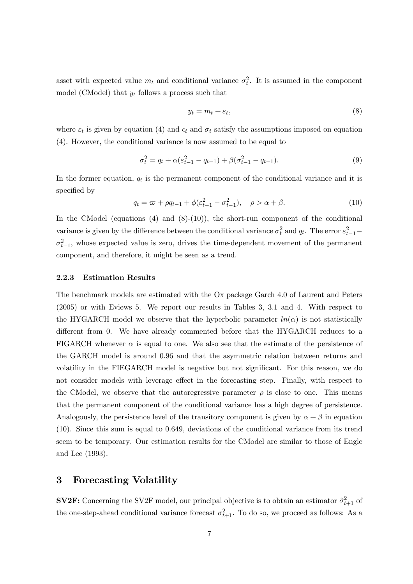asset with expected value  $m_t$  and conditional variance  $\sigma_t^2$ . It is assumed in the component model (CModel) that  $y_t$  follows a process such that

$$
y_t = m_t + \varepsilon_t,\tag{8}
$$

where  $\varepsilon_t$  is given by equation (4) and  $\epsilon_t$  and  $\sigma_t$  satisfy the assumptions imposed on equation (4). However, the conditional variance is now assumed to be equal to

$$
\sigma_t^2 = q_t + \alpha(\varepsilon_{t-1}^2 - q_{t-1}) + \beta(\sigma_{t-1}^2 - q_{t-1}).
$$
\n(9)

In the former equation,  $q_t$  is the permanent component of the conditional variance and it is specified by

$$
q_t = \varpi + \rho q_{t-1} + \phi(\varepsilon_{t-1}^2 - \sigma_{t-1}^2), \quad \rho > \alpha + \beta. \tag{10}
$$

In the CModel (equations  $(4)$  and  $(8)-(10)$ ), the short-run component of the conditional variance is given by the difference between the conditional variance  $\sigma_t^2$  and  $q_t$ . The error  $\varepsilon_{t-1}^2$  –  $\sigma_{t-1}^2$ , whose expected value is zero, drives the time-dependent movement of the permanent component, and therefore, it might be seen as a trend.

#### 2.2.3 Estimation Results

The benchmark models are estimated with the Ox package Garch 4.0 of Laurent and Peters (2005) or with Eviews 5. We report our results in Tables 3, 3.1 and 4. With respect to the HYGARCH model we observe that the hyperbolic parameter  $ln(\alpha)$  is not statistically different from 0. We have already commented before that the HYGARCH reduces to a FIGARCH whenever  $\alpha$  is equal to one. We also see that the estimate of the persistence of the GARCH model is around 0.96 and that the asymmetric relation between returns and volatility in the FIEGARCH model is negative but not significant. For this reason, we do not consider models with leverage effect in the forecasting step. Finally, with respect to the CModel, we observe that the autoregressive parameter  $\rho$  is close to one. This means that the permanent component of the conditional variance has a high degree of persistence. Analogously, the persistence level of the transitory component is given by  $\alpha + \beta$  in equation (10). Since this sum is equal to 0.649, deviations of the conditional variance from its trend seem to be temporary. Our estimation results for the CModel are similar to those of Engle and Lee (1993).

### 3 Forecasting Volatility

**SV2F:** Concerning the SV2F model, our principal objective is to obtain an estimator  $\hat{\sigma}_{t+1}^2$  of the one-step-ahead conditional variance forecast  $\sigma_{t+1}^2$ . To do so, we proceed as follows: As a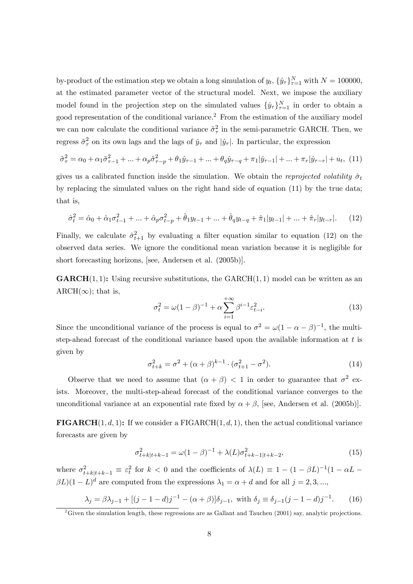by-product of the estimation step we obtain a long simulation of  $y_t$ ,  $\{\hat{y}_\tau\}_{\tau=1}^N$  with  $N = 100000$ , at the estimated parameter vector of the structural model. Next, we impose the auxiliary model found in the projection step on the simulated values  $\{\hat{y}_{\tau}\}_{\tau=1}^{N}$  in order to obtain a good representation of the conditional variance.2 From the estimation of the auxiliary model we can now calculate the conditional variance  $\tilde{\sigma}_{\tau}^2$  in the semi-parametric GARCH. Then, we regress  $\tilde{\sigma}_{\tau}^2$  on its own lags and the lags of  $\hat{y}_{\tau}$  and  $|\hat{y}_{\tau}|$ . In particular, the expression

$$
\tilde{\sigma}_{\tau}^{2} = \alpha_{0} + \alpha_{1} \tilde{\sigma}_{\tau-1}^{2} + ... + \alpha_{p} \tilde{\sigma}_{\tau-p}^{2} + \theta_{1} \hat{y}_{\tau-1} + ... + \theta_{q} \hat{y}_{\tau-q} + \pi_{1} |\hat{y}_{\tau-1}| + ... + \pi_{r} |\hat{y}_{\tau-r}| + u_{t}, (11)
$$

gives us a calibrated function inside the simulation. We obtain the reprojected volatility  $\hat{\sigma}_t$ by replacing the simulated values on the right hand side of equation (11) by the true data; that is,

$$
\hat{\sigma}_t^2 = \hat{\alpha}_0 + \hat{\alpha}_1 \sigma_{t-1}^2 + \dots + \hat{\alpha}_p \sigma_{t-p}^2 + \hat{\theta}_1 y_{t-1} + \dots + \hat{\theta}_q y_{t-q} + \hat{\pi}_1 |y_{t-1}| + \dots + \hat{\pi}_r |y_{t-r}|.
$$
 (12)

Finally, we calculate  $\hat{\sigma}_{t+1}^2$  by evaluating a filter equation similar to equation (12) on the observed data series. We ignore the conditional mean variation because it is negligible for short forecasting horizons, [see, Andersen et al. (2005b)].

**GARCH** $(1, 1)$ : Using recursive substitutions, the GARCH $(1, 1)$  model can be written as an  $\text{ARCH}(\infty)$ ; that is,

$$
\sigma_t^2 = \omega (1 - \beta)^{-1} + \alpha \sum_{i=1}^{+\infty} \beta^{i-1} \varepsilon_{t-i}^2.
$$
 (13)

Since the unconditional variance of the process is equal to  $\sigma^2 = \omega(1 - \alpha - \beta)^{-1}$ , the multistep-ahead forecast of the conditional variance based upon the available information at  $t$  is given by

$$
\sigma_{t+k}^2 = \sigma^2 + (\alpha + \beta)^{k-1} \cdot (\sigma_{t+1}^2 - \sigma^2). \tag{14}
$$

Observe that we need to assume that  $(\alpha + \beta) < 1$  in order to guarantee that  $\sigma^2$  exists. Moreover, the multi-step-ahead forecast of the conditional variance converges to the unconditional variance at an exponential rate fixed by  $\alpha + \beta$ , [see, Andersen et al. (2005b)].

**FIGARCH** $(1, d, 1)$ : If we consider a FIGARCH $(1, d, 1)$ , then the actual conditional variance forecasts are given by

$$
\sigma_{t+k|t+k-1}^2 = \omega (1 - \beta)^{-1} + \lambda(L) \sigma_{t+k-1|t+k-2}^2,
$$
\n(15)

where  $\sigma_{t+k|t+k-1}^2 \equiv \varepsilon_t^2$  for  $k < 0$  and the coefficients of  $\lambda(L) \equiv 1 - (1 - \beta L)^{-1}(1 - \alpha L \beta L$ )(1 – L)<sup>d</sup> are computed from the expressions  $\lambda_1 = \alpha + d$  and for all  $j = 2, 3, ...$ ,

$$
\lambda_j = \beta \lambda_{j-1} + [(j-1-d)j^{-1} - (\alpha+\beta)]\delta_{j-1}, \text{ with } \delta_j \equiv \delta_{j-1}(j-1-d)j^{-1}.
$$
 (16)

<sup>&</sup>lt;sup>2</sup>Given the simulation length, these regressions are as Gallant and Tauchen (2001) say, analytic projections.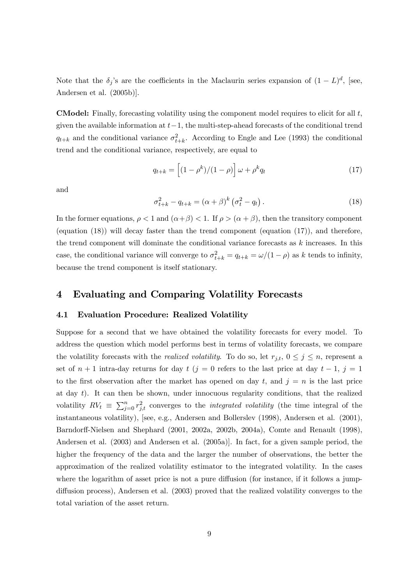Note that the  $\delta_j$ 's are the coefficients in the Maclaurin series expansion of  $(1 - L)^d$ , [see, Andersen et al. (2005b)].

**CModel:** Finally, forecasting volatility using the component model requires to elicit for all  $t$ , given the available information at  $t-1$ , the multi-step-ahead forecasts of the conditional trend  $q_{t+k}$  and the conditional variance  $\sigma_{t+k}^2$ . According to Engle and Lee (1993) the conditional trend and the conditional variance, respectively, are equal to

$$
q_{t+k} = \left[ (1 - \rho^k)/(1 - \rho) \right] \omega + \rho^k q_t \tag{17}
$$

and

$$
\sigma_{t+k}^2 - q_{t+k} = (\alpha + \beta)^k \left(\sigma_t^2 - q_t\right). \tag{18}
$$

In the former equations,  $\rho < 1$  and  $(\alpha + \beta) < 1$ . If  $\rho > (\alpha + \beta)$ , then the transitory component (equation (18)) will decay faster than the trend component (equation (17)), and therefore, the trend component will dominate the conditional variance forecasts as  $k$  increases. In this case, the conditional variance will converge to  $\sigma_{t+k}^2 = q_{t+k} = \omega/(1-\rho)$  as k tends to infinity, because the trend component is itself stationary.

## 4 Evaluating and Comparing Volatility Forecasts

#### 4.1 Evaluation Procedure: Realized Volatility

Suppose for a second that we have obtained the volatility forecasts for every model. To address the question which model performs best in terms of volatility forecasts, we compare the volatility forecasts with the *realized volatility*. To do so, let  $r_{j,t}$ ,  $0 \leq j \leq n$ , represent a set of  $n + 1$  intra-day returns for day  $t (j = 0$  refers to the last price at day  $t - 1$ ,  $j = 1$ to the first observation after the market has opened on day t, and  $j = n$  is the last price at day  $t$ ). It can then be shown, under innocuous regularity conditions, that the realized volatility  $RV_t \equiv \sum_{j=0}^n r_{j,t}^2$  converges to the *integrated volatility* (the time integral of the instantaneous volatility), [see, e.g., Andersen and Bollerslev (1998), Andersen et al. (2001), Barndorff-Nielsen and Shephard (2001, 2002a, 2002b, 2004a), Comte and Renault (1998), Andersen et al. (2003) and Andersen et al. (2005a)]. In fact, for a given sample period, the higher the frequency of the data and the larger the number of observations, the better the approximation of the realized volatility estimator to the integrated volatility. In the cases where the logarithm of asset price is not a pure diffusion (for instance, if it follows a jumpdiffusion process), Andersen et al. (2003) proved that the realized volatility converges to the total variation of the asset return.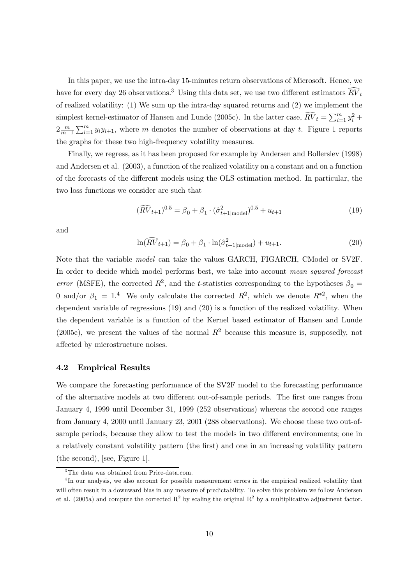In this paper, we use the intra-day 15-minutes return observations of Microsoft. Hence, we have for every day 26 observations.<sup>3</sup> Using this data set, we use two different estimators  $\widehat{RV}_t$ of realized volatility: (1) We sum up the intra-day squared returns and (2) we implement the simplest kernel-estimator of Hansen and Lunde (2005c). In the latter case,  $\widehat{RV}_t = \sum_{i=1}^m y_i^2 +$  $2\frac{m}{m-1}\sum_{i=1}^m y_iy_{i+1}$ , where m denotes the number of observations at day t. Figure 1 reports the graphs for these two high-frequency volatility measures.

Finally, we regress, as it has been proposed for example by Andersen and Bollerslev (1998) and Andersen et al. (2003), a function of the realized volatility on a constant and on a function of the forecasts of the different models using the OLS estimation method. In particular, the two loss functions we consider are such that

$$
(\widehat{RV}_{t+1})^{0.5} = \beta_0 + \beta_1 \cdot (\widehat{\sigma}_{t+1\mid \text{model}}^2)^{0.5} + u_{t+1}
$$
\n(19)

and

$$
\ln(\widehat{RV}_{t+1}) = \beta_0 + \beta_1 \cdot \ln(\widehat{\sigma}_{t+1|\text{model}}^2) + u_{t+1}.
$$
\n(20)

Note that the variable model can take the values GARCH, FIGARCH, CModel or SV2F. In order to decide which model performs best, we take into account mean squared forecast error (MSFE), the corrected  $R^2$ , and the t-statistics corresponding to the hypotheses  $\beta_0 =$ 0 and/or  $\beta_1 = 1.4$  We only calculate the corrected  $R^2$ , which we denote  $R^{*2}$ , when the dependent variable of regressions (19) and (20) is a function of the realized volatility. When the dependent variable is a function of the Kernel based estimator of Hansen and Lunde (2005c), we present the values of the normal  $R^2$  because this measure is, supposedly, not affected by microstructure noises.

#### 4.2 Empirical Results

We compare the forecasting performance of the SV2F model to the forecasting performance of the alternative models at two different out-of-sample periods. The first one ranges from January 4, 1999 until December 31, 1999 (252 observations) whereas the second one ranges from January 4, 2000 until January 23, 2001 (288 observations). We choose these two out-ofsample periods, because they allow to test the models in two different environments; one in a relatively constant volatility pattern (the first) and one in an increasing volatility pattern (the second), [see, Figure 1].

<sup>&</sup>lt;sup>3</sup>The data was obtained from Price-data.com.

<sup>4</sup> In our analysis, we also account for possible measurement errors in the empirical realized volatility that will often result in a downward bias in any measure of predictability. To solve this problem we follow Andersen et al. (2005a) and compute the corrected  $\mathbb{R}^2$  by scaling the original  $\mathbb{R}^2$  by a multiplicative adjustment factor.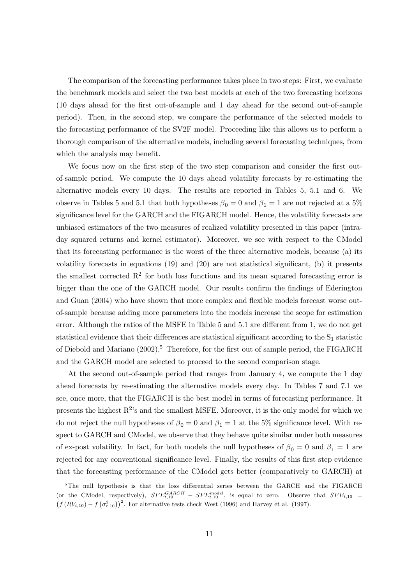The comparison of the forecasting performance takes place in two steps: First, we evaluate the benchmark models and select the two best models at each of the two forecasting horizons (10 days ahead for the first out-of-sample and 1 day ahead for the second out-of-sample period). Then, in the second step, we compare the performance of the selected models to the forecasting performance of the SV2F model. Proceeding like this allows us to perform a thorough comparison of the alternative models, including several forecasting techniques, from which the analysis may benefit.

We focus now on the first step of the two step comparison and consider the first outof-sample period. We compute the 10 days ahead volatility forecasts by re-estimating the alternative models every 10 days. The results are reported in Tables 5, 5.1 and 6. We observe in Tables 5 and 5.1 that both hypotheses  $\beta_0 = 0$  and  $\beta_1 = 1$  are not rejected at a 5% significance level for the GARCH and the FIGARCH model. Hence, the volatility forecasts are unbiased estimators of the two measures of realized volatility presented in this paper (intraday squared returns and kernel estimator). Moreover, we see with respect to the CModel that its forecasting performance is the worst of the three alternative models, because (a) its volatility forecasts in equations (19) and (20) are not statistical significant, (b) it presents the smallest corrected  $R^2$  for both loss functions and its mean squared forecasting error is bigger than the one of the GARCH model. Our results confirm the findings of Ederington and Guan (2004) who have shown that more complex and flexible models forecast worse outof-sample because adding more parameters into the models increase the scope for estimation error. Although the ratios of the MSFE in Table 5 and 5.1 are different from 1, we do not get statistical evidence that their differences are statistical significant according to the  $S_1$  statistic of Diebold and Mariano (2002).5 Therefore, for the first out of sample period, the FIGARCH and the GARCH model are selected to proceed to the second comparison stage.

At the second out-of-sample period that ranges from January 4, we compute the 1 day ahead forecasts by re-estimating the alternative models every day. In Tables 7 and 7.1 we see, once more, that the FIGARCH is the best model in terms of forecasting performance. It presents the highest  $R^2$ 's and the smallest MSFE. Moreover, it is the only model for which we do not reject the null hypotheses of  $\beta_0 = 0$  and  $\beta_1 = 1$  at the 5% significance level. With respect to GARCH and CModel, we observe that they behave quite similar under both measures of ex-post volatility. In fact, for both models the null hypotheses of  $\beta_0 = 0$  and  $\beta_1 = 1$  are rejected for any conventional significance level. Finally, the results of this first step evidence that the forecasting performance of the CModel gets better (comparatively to GARCH) at

<sup>&</sup>lt;sup>5</sup>The null hypothesis is that the loss differential series between the GARCH and the FIGARCH (or the CModel, respectively),  $SFE_{t,10}^{GARCH} - SFE_{t,10}^{model}$ , is equal to zero. Observe that  $SFE_{t,10} =$  $\left(f\left(RV_{t,10}\right)-f\left(\sigma_{t,10}^2\right)\right)^2$ . For alternative tests check West (1996) and Harvey et al. (1997).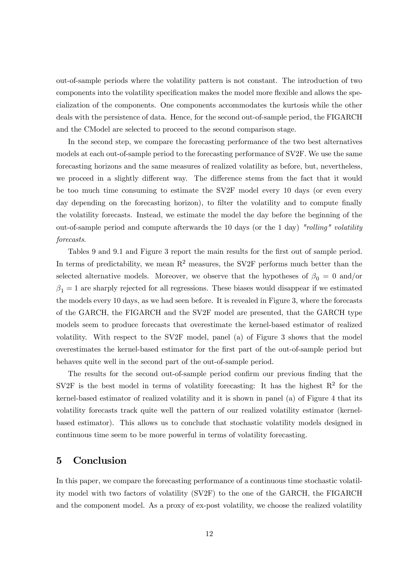out-of-sample periods where the volatility pattern is not constant. The introduction of two components into the volatility specification makes the model more flexible and allows the specialization of the components. One components accommodates the kurtosis while the other deals with the persistence of data. Hence, for the second out-of-sample period, the FIGARCH and the CModel are selected to proceed to the second comparison stage.

In the second step, we compare the forecasting performance of the two best alternatives models at each out-of-sample period to the forecasting performance of SV2F. We use the same forecasting horizons and the same measures of realized volatility as before, but, nevertheless, we proceed in a slightly different way. The difference stems from the fact that it would be too much time consuming to estimate the SV2F model every 10 days (or even every day depending on the forecasting horizon), to filter the volatility and to compute finally the volatility forecasts. Instead, we estimate the model the day before the beginning of the out-of-sample period and compute afterwards the 10 days (or the 1 day) "rolling" volatility forecasts.

Tables 9 and 9.1 and Figure 3 report the main results for the first out of sample period. In terms of predictability, we mean  $R^2$  measures, the SV2F performs much better than the selected alternative models. Moreover, we observe that the hypotheses of  $\beta_0 = 0$  and/or  $\beta_1 = 1$  are sharply rejected for all regressions. These biases would disappear if we estimated the models every 10 days, as we had seen before. It is revealed in Figure 3, where the forecasts of the GARCH, the FIGARCH and the SV2F model are presented, that the GARCH type models seem to produce forecasts that overestimate the kernel-based estimator of realized volatility. With respect to the SV2F model, panel (a) of Figure 3 shows that the model overestimates the kernel-based estimator for the first part of the out-of-sample period but behaves quite well in the second part of the out-of-sample period.

The results for the second out-of-sample period confirm our previous finding that the SV2F is the best model in terms of volatility forecasting: It has the highest  $\mathbb{R}^2$  for the kernel-based estimator of realized volatility and it is shown in panel (a) of Figure 4 that its volatility forecasts track quite well the pattern of our realized volatility estimator (kernelbased estimator). This allows us to conclude that stochastic volatility models designed in continuous time seem to be more powerful in terms of volatility forecasting.

# 5 Conclusion

In this paper, we compare the forecasting performance of a continuous time stochastic volatility model with two factors of volatility (SV2F) to the one of the GARCH, the FIGARCH and the component model. As a proxy of ex-post volatility, we choose the realized volatility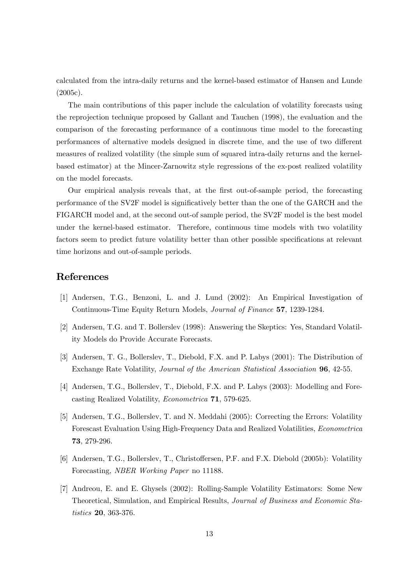calculated from the intra-daily returns and the kernel-based estimator of Hansen and Lunde (2005c).

The main contributions of this paper include the calculation of volatility forecasts using the reprojection technique proposed by Gallant and Tauchen (1998), the evaluation and the comparison of the forecasting performance of a continuous time model to the forecasting performances of alternative models designed in discrete time, and the use of two different measures of realized volatility (the simple sum of squared intra-daily returns and the kernelbased estimator) at the Mincer-Zarnowitz style regressions of the ex-post realized volatility on the model forecasts.

Our empirical analysis reveals that, at the first out-of-sample period, the forecasting performance of the SV2F model is significatively better than the one of the GARCH and the FIGARCH model and, at the second out-of sample period, the SV2F model is the best model under the kernel-based estimator. Therefore, continuous time models with two volatility factors seem to predict future volatility better than other possible specifications at relevant time horizons and out-of-sample periods.

# References

- [1] Andersen, T.G., Benzoni, L. and J. Lund (2002): An Empirical Investigation of Continuous-Time Equity Return Models, Journal of Finance 57, 1239-1284.
- [2] Andersen, T.G. and T. Bollerslev (1998): Answering the Skeptics: Yes, Standard Volatility Models do Provide Accurate Forecasts.
- [3] Andersen, T. G., Bollerslev, T., Diebold, F.X. and P. Labys (2001): The Distribution of Exchange Rate Volatility, Journal of the American Statistical Association 96, 42-55.
- [4] Andersen, T.G., Bollerslev, T., Diebold, F.X. and P. Labys (2003): Modelling and Forecasting Realized Volatility, Econometrica 71, 579-625.
- [5] Andersen, T.G., Bollerslev, T. and N. Meddahi (2005): Correcting the Errors: Volatility Forescast Evaluation Using High-Frequency Data and Realized Volatilities, Econometrica 73, 279-296.
- [6] Andersen, T.G., Bollerslev, T., Christoffersen, P.F. and F.X. Diebold (2005b): Volatility Forecasting, NBER Working Paper no 11188.
- [7] Andreou, E. and E. Ghysels (2002): Rolling-Sample Volatility Estimators: Some New Theoretical, Simulation, and Empirical Results, Journal of Business and Economic Statistics 20, 363-376.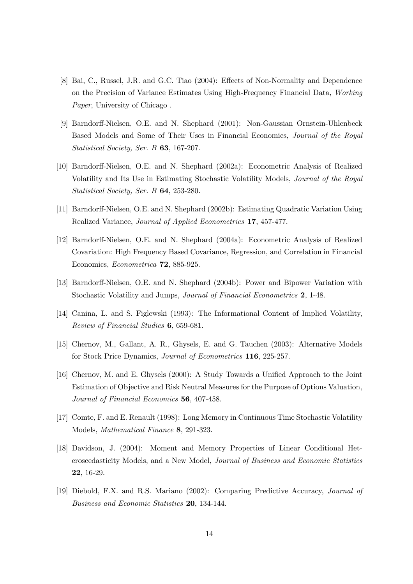- [8] Bai, C., Russel, J.R. and G.C. Tiao (2004): Effects of Non-Normality and Dependence on the Precision of Variance Estimates Using High-Frequency Financial Data, Working Paper, University of Chicago .
- [9] Barndorff-Nielsen, O.E. and N. Shephard (2001): Non-Gaussian Ornstein-Uhlenbeck Based Models and Some of Their Uses in Financial Economics, Journal of the Royal Statistical Society, Ser. B 63, 167-207.
- [10] Barndorff-Nielsen, O.E. and N. Shephard (2002a): Econometric Analysis of Realized Volatility and Its Use in Estimating Stochastic Volatility Models, Journal of the Royal Statistical Society, Ser. B 64, 253-280.
- [11] Barndorff-Nielsen, O.E. and N. Shephard (2002b): Estimating Quadratic Variation Using Realized Variance, Journal of Applied Econometrics 17, 457-477.
- [12] Barndorff-Nielsen, O.E. and N. Shephard (2004a): Econometric Analysis of Realized Covariation: High Frequency Based Covariance, Regression, and Correlation in Financial Economics, Econometrica 72, 885-925.
- [13] Barndorff-Nielsen, O.E. and N. Shephard (2004b): Power and Bipower Variation with Stochastic Volatility and Jumps, Journal of Financial Econometrics 2, 1-48.
- [14] Canina, L. and S. Figlewski (1993): The Informational Content of Implied Volatility, Review of Financial Studies 6, 659-681.
- [15] Chernov, M., Gallant, A. R., Ghysels, E. and G. Tauchen (2003): Alternative Models for Stock Price Dynamics, Journal of Econometrics 116, 225-257.
- [16] Chernov, M. and E. Ghysels (2000): A Study Towards a Unified Approach to the Joint Estimation of Objective and Risk Neutral Measures for the Purpose of Options Valuation, Journal of Financial Economics 56, 407-458.
- [17] Comte, F. and E. Renault (1998): Long Memory in Continuous Time Stochastic Volatility Models, Mathematical Finance 8, 291-323.
- [18] Davidson, J. (2004): Moment and Memory Properties of Linear Conditional Heteroscedasticity Models, and a New Model, Journal of Business and Economic Statistics 22, 16-29.
- [19] Diebold, F.X. and R.S. Mariano (2002): Comparing Predictive Accuracy, Journal of Business and Economic Statistics 20, 134-144.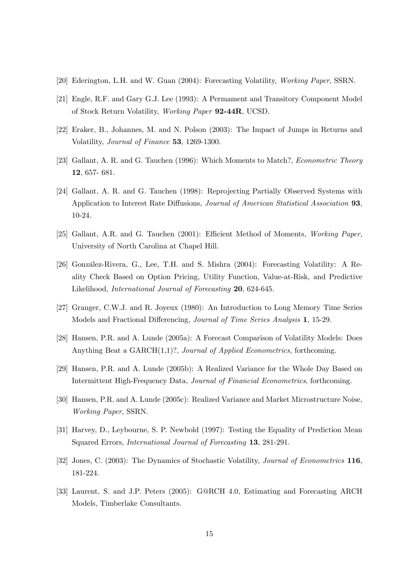- [20] Ederington, L.H. and W. Guan (2004): Forecasting Volatility, Working Paper, SSRN.
- [21] Engle, R.F. and Gary G.J. Lee (1993): A Permament and Transitory Component Model of Stock Return Volatility, Working Paper 92-44R, UCSD.
- [22] Eraker, B., Johannes, M. and N. Polson (2003): The Impact of Jumps in Returns and Volatility, Journal of Finance 53, 1269-1300.
- [23] Gallant, A. R. and G. Tauchen (1996): Which Moments to Match?, Econometric Theory 12, 657- 681.
- [24] Gallant, A. R. and G. Tauchen (1998): Reprojecting Partially Observed Systems with Application to Interest Rate Diffusions, Journal of American Statistical Association 93, 10-24.
- [25] Gallant, A.R. and G. Tauchen (2001): Efficient Method of Moments, Working Paper, University of North Carolina at Chapel Hill.
- [26] González-Rivera, G., Lee, T.H. and S. Mishra (2004): Forecasting Volatility: A Reality Check Based on Option Pricing, Utility Function, Value-at-Risk, and Predictive Likelihood, International Journal of Forecasting 20, 624-645.
- [27] Granger, C.W.J. and R. Joyeux (1980): An Introduction to Long Memory Time Series Models and Fractional Differencing, Journal of Time Series Analysis 1, 15-29.
- [28] Hansen, P.R. and A. Lunde (2005a): A Forecast Comparison of Volatility Models: Does Anything Beat a GARCH(1,1)?, Journal of Applied Econometrics, forthcoming.
- [29] Hansen, P.R. and A. Lunde (2005b): A Realized Variance for the Whole Day Based on Intermittent High-Frequency Data, Journal of Financial Econometrics, forthcoming.
- [30] Hansen, P.R. and A. Lunde (2005c): Realized Variance and Market Microstructure Noise, Working Paper, SSRN.
- [31] Harvey, D., Leybourne, S. P. Newbold (1997): Testing the Equality of Prediction Mean Squared Errors, International Journal of Forecasting 13, 281-291.
- [32] Jones, C. (2003): The Dynamics of Stochastic Volatility, Journal of Econometrics 116, 181-224.
- [33] Laurent, S. and J.P. Peters (2005): G@RCH 4.0, Estimating and Forecasting ARCH Models, Timberlake Consultants.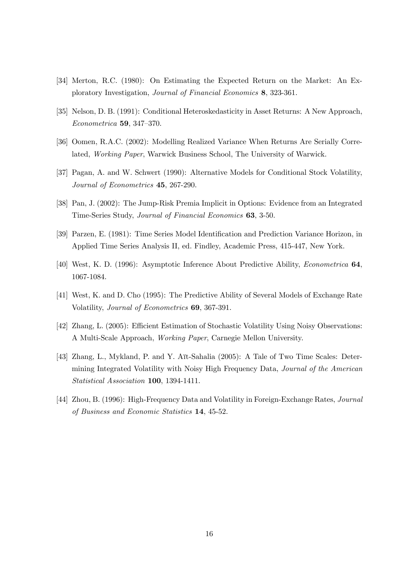- [34] Merton, R.C. (1980): On Estimating the Expected Return on the Market: An Exploratory Investigation, Journal of Financial Economics 8, 323-361.
- [35] Nelson, D. B. (1991): Conditional Heteroskedasticity in Asset Returns: A New Approach, Econometrica 59, 347—370.
- [36] Oomen, R.A.C. (2002): Modelling Realized Variance When Returns Are Serially Correlated, Working Paper, Warwick Business School, The University of Warwick.
- [37] Pagan, A. and W. Schwert (1990): Alternative Models for Conditional Stock Volatility, Journal of Econometrics 45, 267-290.
- [38] Pan, J. (2002): The Jump-Risk Premia Implicit in Options: Evidence from an Integrated Time-Series Study, Journal of Financial Economics 63, 3-50.
- [39] Parzen, E. (1981): Time Series Model Identification and Prediction Variance Horizon, in Applied Time Series Analysis II, ed. Findley, Academic Press, 415-447, New York.
- [40] West, K. D. (1996): Asymptotic Inference About Predictive Ability, Econometrica 64, 1067-1084.
- [41] West, K. and D. Cho (1995): The Predictive Ability of Several Models of Exchange Rate Volatility, Journal of Econometrics 69, 367-391.
- [42] Zhang, L. (2005): Efficient Estimation of Stochastic Volatility Using Noisy Observations: A Multi-Scale Approach, Working Paper, Carnegie Mellon University.
- [43] Zhang, L., Mykland, P. and Y. Aït-Sahalia (2005): A Tale of Two Time Scales: Determining Integrated Volatility with Noisy High Frequency Data, Journal of the American Statistical Association 100, 1394-1411.
- [44] Zhou, B. (1996): High-Frequency Data and Volatility in Foreign-Exchange Rates, Journal of Business and Economic Statistics 14, 45-52.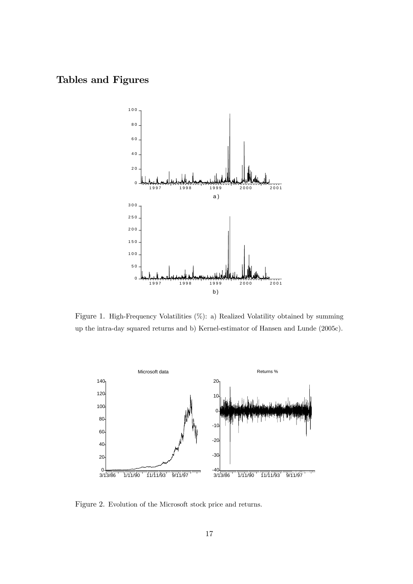# Tables and Figures



Figure 1. High-Frequency Volatilities (%): a) Realized Volatility obtained by summing up the intra-day squared returns and b) Kernel-estimator of Hansen and Lunde (2005c).



Figure 2. Evolution of the Microsoft stock price and returns.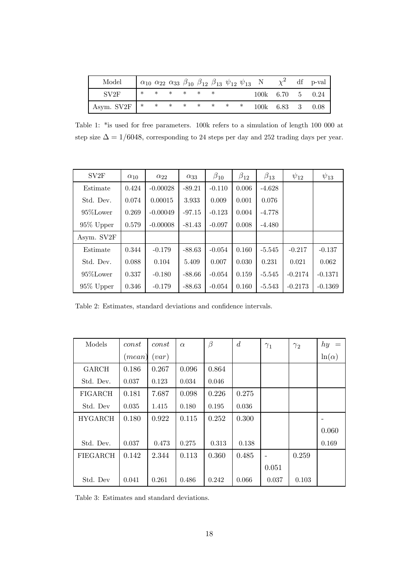| Model                                           |             |  |  |  |  |                  | $\alpha_{10} \alpha_{22} \alpha_{33} \beta_{10} \beta_{12} \beta_{13} \psi_{12} \psi_{13}$ N $\chi^2$ df p-val |
|-------------------------------------------------|-------------|--|--|--|--|------------------|----------------------------------------------------------------------------------------------------------------|
| SV2F                                            | * * * * * * |  |  |  |  | 100k 6.70 5 0.24 |                                                                                                                |
| Asym. SV2F   * * * * * * * * * 100k 6.83 3 0.08 |             |  |  |  |  |                  |                                                                                                                |

Table 1: \*is used for free parameters. 100k refers to a simulation of length 100 000 at step size  $\Delta = 1/6048$ , corresponding to 24 steps per day and 252 trading days per year.

| SV2F         | $\alpha_{10}$ | $\alpha_{22}$ | $\alpha_{33}$ | $\beta_{10}$ | $\beta_{12}$ | $\beta_{13}$ | $\psi_{12}$ | $\psi_{13}$ |
|--------------|---------------|---------------|---------------|--------------|--------------|--------------|-------------|-------------|
| Estimate     | 0.424         | $-0.00028$    | $-89.21$      | $-0.110$     | 0.006        | $-4.628$     |             |             |
| Std. Dev.    | 0.074         | 0.00015       | 3.933         | 0.009        | 0.001        | 0.076        |             |             |
| $95\%$ Lower | 0.269         | $-0.00049$    | $-97.15$      | $-0.123$     | 0.004        | $-4.778$     |             |             |
| $95\%$ Upper | 0.579         | $-0.00008$    | $-81.43$      | $-0.097$     | 0.008        | $-4.480$     |             |             |
| Asym. SV2F   |               |               |               |              |              |              |             |             |
| Estimate     | 0.344         | $-0.179$      | $-88.63$      | $-0.054$     | 0.160        | $-5.545$     | $-0.217$    | $-0.137$    |
| Std. Dev.    | 0.088         | 0.104         | 5.409         | 0.007        | 0.030        | 0.231        | 0.021       | 0.062       |
| $95\%$ Lower | 0.337         | $-0.180$      | $-88.66$      | $-0.054$     | 0.159        | $-5.545$     | $-0.2174$   | $-0.1371$   |
| $95\%$ Upper | 0.346         | $-0.179$      | $-88.63$      | $-0.054$     | 0.160        | $-5.543$     | $-0.2173$   | $-0.1369$   |

Table 2: Estimates, standard deviations and confidence intervals.

| Models         | const  | const | $\alpha$ | $\beta$ | $\boldsymbol{d}$ | $\gamma_1$ | $\gamma_2$ | $hy =$        |
|----------------|--------|-------|----------|---------|------------------|------------|------------|---------------|
|                | (mean) | (var) |          |         |                  |            |            | $\ln(\alpha)$ |
| <b>GARCH</b>   | 0.186  | 0.267 | 0.096    | 0.864   |                  |            |            |               |
| Std. Dev.      | 0.037  | 0.123 | 0.034    | 0.046   |                  |            |            |               |
| <b>FIGARCH</b> | 0.181  | 7.687 | 0.098    | 0.226   | 0.275            |            |            |               |
| Std. Dev       | 0.035  | 1.415 | 0.180    | 0.195   | 0.036            |            |            |               |
| <b>HYGARCH</b> | 0.180  | 0.922 | 0.115    | 0.252   | 0.300            |            |            |               |
|                |        |       |          |         |                  |            |            | 0.060         |
| Std. Dev.      | 0.037  | 0.473 | 0.275    | 0.313   | 0.138            |            |            | 0.169         |
| FIEGARCH       | 0.142  | 2.344 | 0.113    | 0.360   | 0.485            |            | 0.259      |               |
|                |        |       |          |         |                  | 0.051      |            |               |
| Std. Dev       | 0.041  | 0.261 | 0.486    | 0.242   | 0.066            | 0.037      | 0.103      |               |

Table 3: Estimates and standard deviations.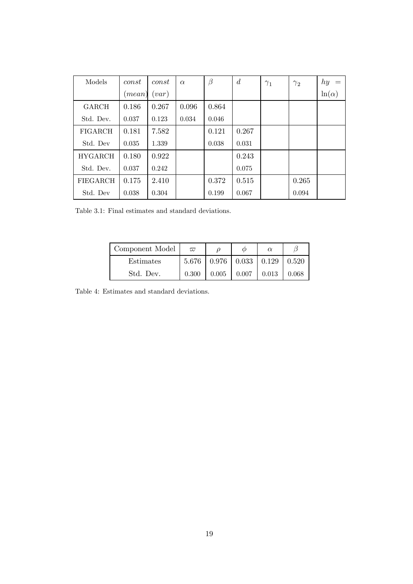| Models         | const  | const | $\alpha$ | $\beta$ | $\boldsymbol{d}$ | $\gamma_1$ | $\gamma_2$ | $hy =$        |
|----------------|--------|-------|----------|---------|------------------|------------|------------|---------------|
|                | (mean) | (var) |          |         |                  |            |            | $\ln(\alpha)$ |
| GARCH          | 0.186  | 0.267 | 0.096    | 0.864   |                  |            |            |               |
| Std. Dev.      | 0.037  | 0.123 | 0.034    | 0.046   |                  |            |            |               |
| <b>FIGARCH</b> | 0.181  | 7.582 |          | 0.121   | 0.267            |            |            |               |
| Std. Dev       | 0.035  | 1.339 |          | 0.038   | 0.031            |            |            |               |
| <b>HYGARCH</b> | 0.180  | 0.922 |          |         | 0.243            |            |            |               |
| Std. Dev.      | 0.037  | 0.242 |          |         | 0.075            |            |            |               |
| FIEGARCH       | 0.175  | 2.410 |          | 0.372   | 0.515            |            | 0.265      |               |
| Std. Dev       | 0.038  | 0.304 |          | 0.199   | 0.067            |            | 0.094      |               |

Table 3.1: Final estimates and standard deviations.

| Component Model | $\varpi$  |                                         |                                       | $\alpha$ |  |
|-----------------|-----------|-----------------------------------------|---------------------------------------|----------|--|
| Estimates       |           | $5.676$   0.976   0.033   0.129   0.520 |                                       |          |  |
| Std. Dev.       | $0.300\,$ |                                         | $0.005$   $0.007$   $0.013$   $0.068$ |          |  |

Table 4: Estimates and standard deviations.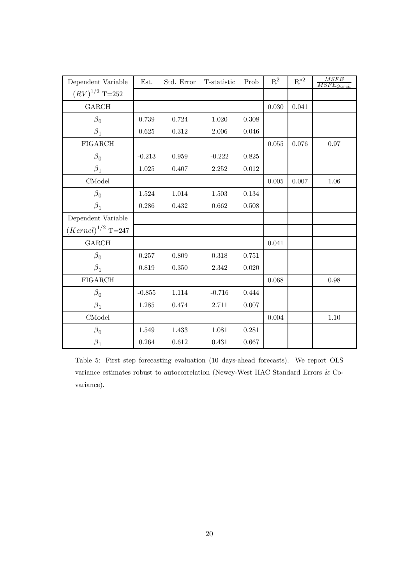| Dependent Variable     | Est.     | Std. Error | T-statistic | Prob      | $\mathbf{R}^2$ | $\mathrm{R}^{*2}$ | $\frac{MSFE}{MSFE_{Garch}}$ |
|------------------------|----------|------------|-------------|-----------|----------------|-------------------|-----------------------------|
| $(RV)^{1/2}$ T=252     |          |            |             |           |                |                   |                             |
| GARCH                  |          |            |             |           | 0.030          | 0.041             |                             |
| $\beta_0$              | 0.739    | 0.724      | 1.020       | 0.308     |                |                   |                             |
| $\beta_1$              | 0.625    | 0.312      | $2.006\,$   | $0.046\,$ |                |                   |                             |
| $FIGARCH$              |          |            |             |           | 0.055          | 0.076             | 0.97                        |
| $\beta_0$              | $-0.213$ | 0.959      | $-0.222$    | 0.825     |                |                   |                             |
| $\beta_1$              | 1.025    | 0.407      | $2.252\,$   | $0.012\,$ |                |                   |                             |
| CMode                  |          |            |             |           | 0.005          | 0.007             | 1.06                        |
| $\beta_0$              | 1.524    | 1.014      | 1.503       | 0.134     |                |                   |                             |
| $\beta_1$              | 0.286    | 0.432      | 0.662       | $0.508\,$ |                |                   |                             |
| Dependent Variable     |          |            |             |           |                |                   |                             |
| $(Kernel)^{1/2}$ T=247 |          |            |             |           |                |                   |                             |
| $\mathsf{GARCH}$       |          |            |             |           | 0.041          |                   |                             |
| $\beta_0$              | 0.257    | 0.809      | $0.318\,$   | 0.751     |                |                   |                             |
| $\beta_1$              | 0.819    | 0.350      | 2.342       | 0.020     |                |                   |                             |
| ${\rm FIGARCH}$        |          |            |             |           | 0.068          |                   | 0.98                        |
| $\beta_0$              | $-0.855$ | $1.114\,$  | $-0.716$    | 0.444     |                |                   |                             |
| $\beta_1$              | 1.285    | 0.474      | 2.711       | 0.007     |                |                   |                             |
| CModel                 |          |            |             |           | 0.004          |                   | 1.10                        |
| $\beta_0$              | 1.549    | 1.433      | 1.081       | 0.281     |                |                   |                             |
| $\beta_1$              | 0.264    | 0.612      | 0.431       | 0.667     |                |                   |                             |

Table 5: First step forecasting evaluation (10 days-ahead forecasts). We report OLS variance estimates robust to autocorrelation (Newey-West HAC Standard Errors & Covariance).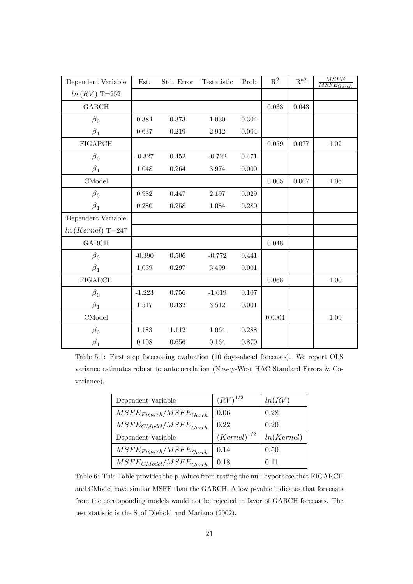| Dependent Variable | Est.     | Std. Error | T-statistic | Prob  | $\mathbf{R}^2$ | ${\bf R}^{*2}$ | $\frac{MSFE}{MSFE_{Garch}}$ |
|--------------------|----------|------------|-------------|-------|----------------|----------------|-----------------------------|
| $ln(RV)$ T=252     |          |            |             |       |                |                |                             |
| <b>GARCH</b>       |          |            |             |       | 0.033          | 0.043          |                             |
| $\beta_0$          | 0.384    | 0.373      | 1.030       | 0.304 |                |                |                             |
| $\beta_1$          | 0.637    | 0.219      | 2.912       | 0.004 |                |                |                             |
| <b>FIGARCH</b>     |          |            |             |       | 0.059          | 0.077          | $1.02\,$                    |
| $\beta_0$          | $-0.327$ | 0.452      | $-0.722$    | 0.471 |                |                |                             |
| $\beta_1$          | 1.048    | 0.264      | 3.974       | 0.000 |                |                |                             |
| CMode              |          |            |             |       | 0.005          | 0.007          | 1.06                        |
| $\beta_0$          | 0.982    | 0.447      | 2.197       | 0.029 |                |                |                             |
| $\beta_1$          | 0.280    | 0.258      | 1.084       | 0.280 |                |                |                             |
| Dependent Variable |          |            |             |       |                |                |                             |
| $ln(Kernel)$ T=247 |          |            |             |       |                |                |                             |
| $\mathsf{GARCH}$   |          |            |             |       | 0.048          |                |                             |
| $\beta_0$          | $-0.390$ | $0.506\,$  | $-0.772$    | 0.441 |                |                |                             |
| $\beta_1$          | 1.039    | $0.297\,$  | 3.499       | 0.001 |                |                |                             |
| <b>FIGARCH</b>     |          |            |             |       | 0.068          |                | 1.00                        |
| $\beta_0$          | $-1.223$ | $0.756\,$  | $-1.619$    | 0.107 |                |                |                             |
| $\beta_1$          | 1.517    | 0.432      | 3.512       | 0.001 |                |                |                             |
| CMode              |          |            |             |       | 0.0004         |                | 1.09                        |
| $\beta_0$          | 1.183    | 1.112      | 1.064       | 0.288 |                |                |                             |
| $\beta_1$          | 0.108    | $0.656\,$  | 0.164       | 0.870 |                |                |                             |

Table 5.1: First step forecasting evaluation (10 days-ahead forecasts). We report OLS variance estimates robust to autocorrelation (Newey-West HAC Standard Errors & Covariance).

| Dependent Variable            | $(RV)^{1/2}$     | ln(RV)     |
|-------------------------------|------------------|------------|
| $MSFE_{Figureh}/MSFE_{Garch}$ | 0.06             | 0.28       |
| $MSFE_{CModel}/MSFE_{Garch}$  | 0.22             | 0.20       |
| Dependent Variable            | $(Kernel)^{1/2}$ | ln(Kernet) |
| $MSFE_{Figureh}/MSFE_{Garch}$ | 0.14             | 0.50       |
| $MSFE_{CModel}/MSFE_{Garch}$  | 0.18             | 0.11       |

Table 6: This Table provides the p-values from testing the null hypothese that FIGARCH and CModel have similar MSFE than the GARCH. A low p-value indicates that forecasts from the corresponding models would not be rejected in favor of GARCH forecasts. The test statistic is the S<sub>1</sub>of Diebold and Mariano (2002).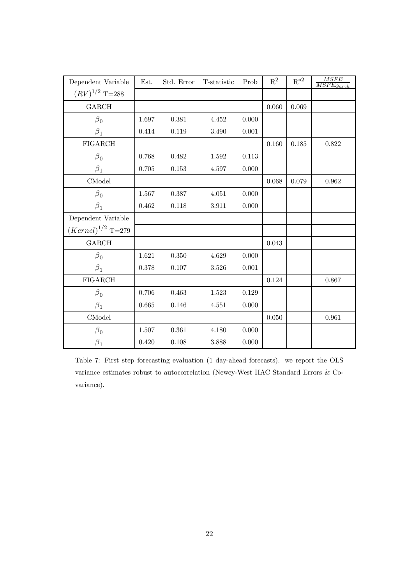| Dependent Variable     | Est.  | Std. Error | T-statistic | Prob      | $\mathbb{R}^2$ | $R^{*2}$ | $\frac{\overline{MSFE}}{\overline{MSFE}_{Garch}}$ |
|------------------------|-------|------------|-------------|-----------|----------------|----------|---------------------------------------------------|
| $(RV)^{1/2}$ T=288     |       |            |             |           |                |          |                                                   |
| GARCH                  |       |            |             |           | 0.060          | 0.069    |                                                   |
| $\beta_0$              | 1.697 | 0.381      | 4.452       | 0.000     |                |          |                                                   |
| $\beta_1$              | 0.414 | 0.119      | 3.490       | $0.001\,$ |                |          |                                                   |
| <b>FIGARCH</b>         |       |            |             |           | 0.160          | 0.185    | 0.822                                             |
| $\beta_0$              | 0.768 | 0.482      | 1.592       | 0.113     |                |          |                                                   |
| $\beta_1$              | 0.705 | 0.153      | 4.597       | 0.000     |                |          |                                                   |
| CModel                 |       |            |             |           | 0.068          | 0.079    | 0.962                                             |
| $\beta_0$              | 1.567 | 0.387      | 4.051       | 0.000     |                |          |                                                   |
| $\beta_1$              | 0.462 | 0.118      | 3.911       | 0.000     |                |          |                                                   |
| Dependent Variable     |       |            |             |           |                |          |                                                   |
| $(Kernel)^{1/2}$ T=279 |       |            |             |           |                |          |                                                   |
| $\mathsf{GARCH}$       |       |            |             |           | 0.043          |          |                                                   |
| $\beta_0$              | 1.621 | 0.350      | 4.629       | 0.000     |                |          |                                                   |
| $\beta_1$              | 0.378 | $0.107\,$  | 3.526       | 0.001     |                |          |                                                   |
| <b>FIGARCH</b>         |       |            |             |           | 0.124          |          | 0.867                                             |
| $\beta_0$              | 0.706 | 0.463      | 1.523       | 0.129     |                |          |                                                   |
| $\beta_1$              | 0.665 | 0.146      | 4.551       | 0.000     |                |          |                                                   |
| CModel                 |       |            |             |           | 0.050          |          | 0.961                                             |
| $\beta_0$              | 1.507 | 0.361      | 4.180       | 0.000     |                |          |                                                   |
| $\beta_1$              | 0.420 | 0.108      | 3.888       | 0.000     |                |          |                                                   |

Table 7: First step forecasting evaluation (1 day-ahead forecasts). we report the OLS variance estimates robust to autocorrelation (Newey-West HAC Standard Errors & Covariance).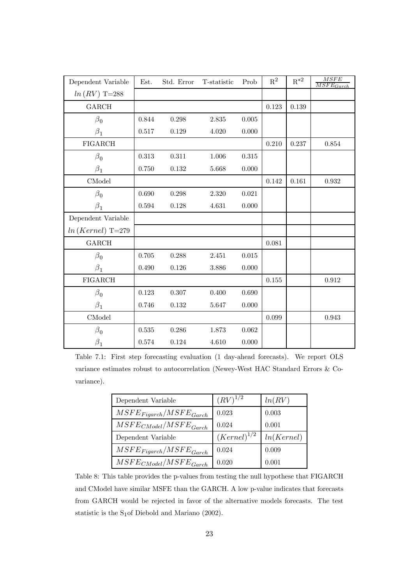| Dependent Variable | Est.      | Std. Error | T-statistic | Prob  | $\mathbf{R}^2$ | $\mathrm{R}^{*2}$ | MSFE<br>$\overline{MSFE}_{Garch}$ |
|--------------------|-----------|------------|-------------|-------|----------------|-------------------|-----------------------------------|
| $ln(RV)$ T=288     |           |            |             |       |                |                   |                                   |
| GARCH              |           |            |             |       | 0.123          | 0.139             |                                   |
| $\beta_0$          | 0.844     | 0.298      | 2.835       | 0.005 |                |                   |                                   |
| $\beta_1$          | 0.517     | 0.129      | 4.020       | 0.000 |                |                   |                                   |
| <b>FIGARCH</b>     |           |            |             |       | 0.210          | 0.237             | 0.854                             |
| $\beta_0$          | 0.313     | 0.311      | 1.006       | 0.315 |                |                   |                                   |
| $\beta_1$          | 0.750     | $0.132\,$  | 5.668       | 0.000 |                |                   |                                   |
| CMode              |           |            |             |       | 0.142          | 0.161             | 0.932                             |
| $\beta_0$          | 0.690     | 0.298      | 2.320       | 0.021 |                |                   |                                   |
| $\beta_1$          | 0.594     | $0.128\,$  | 4.631       | 0.000 |                |                   |                                   |
| Dependent Variable |           |            |             |       |                |                   |                                   |
| $ln(Kernel)$ T=279 |           |            |             |       |                |                   |                                   |
| $\mathsf{GARCH}$   |           |            |             |       | 0.081          |                   |                                   |
| $\beta_0$          | 0.705     | 0.288      | 2.451       | 0.015 |                |                   |                                   |
| $\beta_1$          | 0.490     | 0.126      | 3.886       | 0.000 |                |                   |                                   |
| <b>FIGARCH</b>     |           |            |             |       | 0.155          |                   | $\rm 0.912$                       |
| $\beta_0$          | 0.123     | $0.307\,$  | 0.400       | 0.690 |                |                   |                                   |
| $\beta_1$          | 0.746     | $0.132\,$  | 5.647       | 0.000 |                |                   |                                   |
| CModel             |           |            |             |       | 0.099          |                   | 0.943                             |
| $\beta_0$          | $0.535\,$ | 0.286      | 1.873       | 0.062 |                |                   |                                   |
| $\beta_1$          | $0.574\,$ | $0.124\,$  | 4.610       | 0.000 |                |                   |                                   |

Table 7.1: First step forecasting evaluation (1 day-ahead forecasts). We report OLS variance estimates robust to autocorrelation (Newey-West HAC Standard Errors & Covariance).

| Dependent Variable            | $(RV)^{1/2}$     | ln(RV)     |
|-------------------------------|------------------|------------|
| $MSFE_{Figureh}/MSFE_{Garch}$ | 0.023            | 0.003      |
| $MSFE_{CModel}/MSFE_{Garch}$  | 0.024            | 0.001      |
| Dependent Variable            | $(Kernel)^{1/2}$ | ln(Kernet) |
| $MSFE_{Figureh}/MSFE_{Garch}$ | 0.024            | 0.009      |
| $MSFE_{CModel}/MSFE_{Garch}$  | 0.020            | 0.001      |

Table 8: This table provides the p-values from testing the null hypothese that FIGARCH and CModel have similar MSFE than the GARCH. A low p-value indicates that forecasts from GARCH would be rejected in favor of the alternative models forecasts. The test statistic is the  $S_1$ of Diebold and Mariano (2002).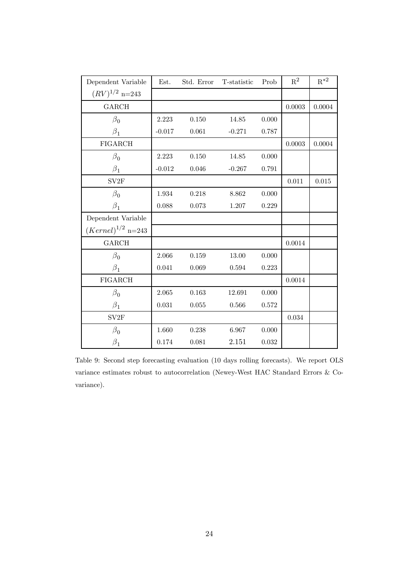| Dependent Variable                | Est.     | Std. Error | T-statistic | Prob      | $\mathbb{R}^2$ | $R^{*2}$ |
|-----------------------------------|----------|------------|-------------|-----------|----------------|----------|
| $(RV)^{1/2}$ n=243                |          |            |             |           |                |          |
| <b>GARCH</b>                      |          |            |             |           | 0.0003         | 0.0004   |
| $\beta_0$                         | 2.223    | 0.150      | 14.85       | 0.000     |                |          |
| $\beta_1$                         | $-0.017$ | 0.061      | $-0.271$    | 0.787     |                |          |
| <b>FIGARCH</b>                    |          |            |             |           | 0.0003         | 0.0004   |
| $\beta_0$                         | 2.223    | 0.150      | 14.85       | 0.000     |                |          |
| $\beta_1$                         | $-0.012$ | 0.046      | $-0.267$    | 0.791     |                |          |
| $\mathrm{S}\mathrm{V}2\mathrm{F}$ |          |            |             |           | 0.011          | 0.015    |
| $\beta_0$                         | 1.934    | 0.218      | 8.862       | 0.000     |                |          |
| $\beta_1$                         | 0.088    | $0.073\,$  | 1.207       | 0.229     |                |          |
| Dependent Variable                |          |            |             |           |                |          |
| $(Kernel)^{1/2}$ n=243            |          |            |             |           |                |          |
| GARCH                             |          |            |             |           | 0.0014         |          |
| $\beta_0$                         | 2.066    | 0.159      | 13.00       | 0.000     |                |          |
| $\beta_1$                         | 0.041    | 0.069      | 0.594       | 0.223     |                |          |
| <b>FIGARCH</b>                    |          |            |             |           | 0.0014         |          |
| $\beta_0$                         | 2.065    | 0.163      | 12.691      | 0.000     |                |          |
| $\beta_1$                         | 0.031    | 0.055      | 0.566       | $0.572\,$ |                |          |
| SV <sub>2F</sub>                  |          |            |             |           | 0.034          |          |
| $\beta_0$                         | 1.660    | 0.238      | 6.967       | 0.000     |                |          |
| $\beta_1$                         | 0.174    | 0.081      | 2.151       | 0.032     |                |          |

Table 9: Second step forecasting evaluation (10 days rolling forecasts). We report OLS variance estimates robust to autocorrelation (Newey-West HAC Standard Errors & Covariance).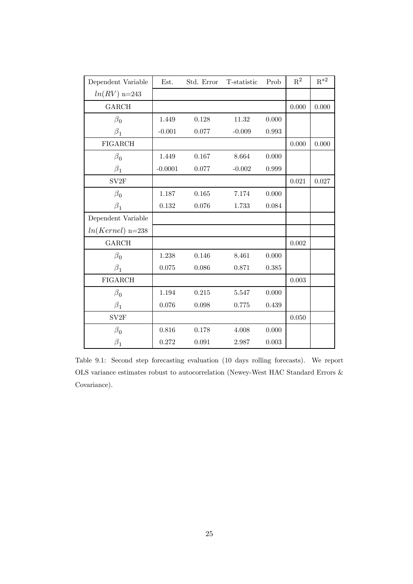| Dependent Variable                | Est.      | Std. Error | T-statistic | Prob  | $R^2$ | $\mathrm{R}^{*2}$ |
|-----------------------------------|-----------|------------|-------------|-------|-------|-------------------|
| $ln(RV)$ n=243                    |           |            |             |       |       |                   |
| <b>GARCH</b>                      |           |            |             |       | 0.000 | 0.000             |
| $\beta_0$                         | 1.449     | 0.128      | 11.32       | 0.000 |       |                   |
| $\beta_1$                         | $-0.001$  | 0.077      | $-0.009$    | 0.993 |       |                   |
| <b>FIGARCH</b>                    |           |            |             |       | 0.000 | 0.000             |
| $\beta_0$                         | 1.449     | 0.167      | 8.664       | 0.000 |       |                   |
| $\beta_1$                         | $-0.0001$ | 0.077      | $-0.002$    | 0.999 |       |                   |
| $\mathrm{S}\mathrm{V}2\mathrm{F}$ |           |            |             |       | 0.021 | 0.027             |
| $\beta_0$                         | 1.187     | 0.165      | 7.174       | 0.000 |       |                   |
| $\beta_1$                         | $0.132\,$ | 0.076      | 1.733       | 0.084 |       |                   |
| Dependent Variable                |           |            |             |       |       |                   |
| $ln(Kernel)$ n=238                |           |            |             |       |       |                   |
| <b>GARCH</b>                      |           |            |             |       | 0.002 |                   |
| $\beta_0$                         | 1.238     | 0.146      | 8.461       | 0.000 |       |                   |
| $\beta_1$                         | 0.075     | 0.086      | 0.871       | 0.385 |       |                   |
| <b>FIGARCH</b>                    |           |            |             |       | 0.003 |                   |
| $\beta_0$                         | 1.194     | 0.215      | 5.547       | 0.000 |       |                   |
| $\beta_1$                         | 0.076     | 0.098      | 0.775       | 0.439 |       |                   |
| SV2F                              |           |            |             |       | 0.050 |                   |
| $\beta_0$                         | 0.816     | 0.178      | 4.008       | 0.000 |       |                   |
| $\beta_1$                         | 0.272     | 0.091      | 2.987       | 0.003 |       |                   |

Table 9.1: Second step forecasting evaluation (10 days rolling forecasts). We report OLS variance estimates robust to autocorrelation (Newey-West HAC Standard Errors & Covariance).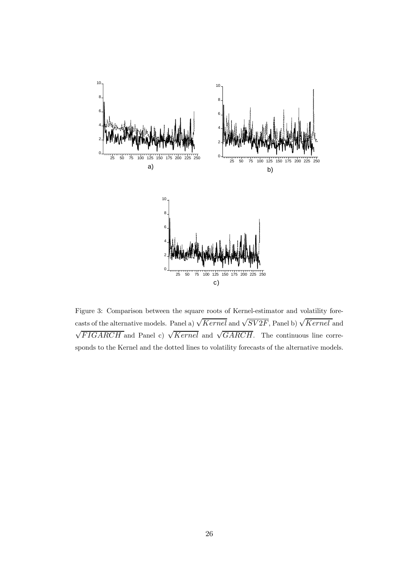

Figure 3: Comparison between the square roots of Kernel-estimator and volatility forecasts of the alternative models. Panel a)  $\sqrt{Kernel}$  and  $\sqrt{SV2F}$ , Panel b)  $\sqrt{Kernel}$  and  $\sqrt{FIGARCH}$  and Panel c)  $\sqrt{Kernel}$  and  $\sqrt{GARCH}$ . The continuous line corresponds to the Kernel and the dotted lines to volatility forecasts of the alternative models.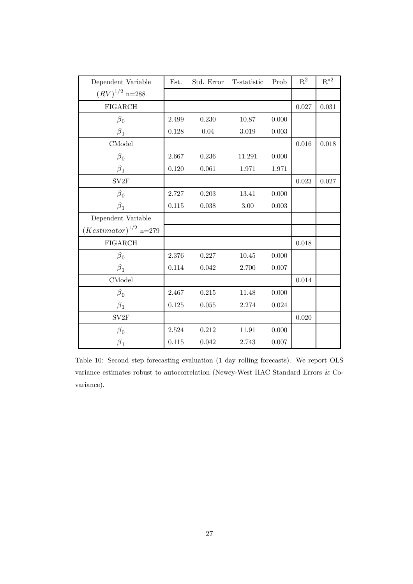| Dependent Variable                | Est.  | Std. Error | T-statistic | Prob      | $\mathbb{R}^2$ | $R^{*2}$ |
|-----------------------------------|-------|------------|-------------|-----------|----------------|----------|
| $(RV)^{1/2}$ n=288                |       |            |             |           |                |          |
| <b>FIGARCH</b>                    |       |            |             |           | 0.027          | 0.031    |
| $\beta_0$                         | 2.499 | 0.230      | 10.87       | 0.000     |                |          |
| $\beta_1$                         | 0.128 | $0.04\,$   | 3.019       | $0.003\,$ |                |          |
| CModel                            |       |            |             |           | 0.016          | 0.018    |
| $\beta_0$                         | 2.667 | 0.236      | 11.291      | 0.000     |                |          |
| $\beta_1$                         | 0.120 | 0.061      | 1.971       | 1.971     |                |          |
| $\mathrm{S}\mathrm{V}2\mathrm{F}$ |       |            |             |           | 0.023          | 0.027    |
| $\beta_0$                         | 2.727 | 0.203      | 13.41       | 0.000     |                |          |
| $\beta_1$                         | 0.115 | $0.038\,$  | $3.00\,$    | 0.003     |                |          |
| Dependent Variable                |       |            |             |           |                |          |
| $(Kestimator)^{1/2}$ n=279        |       |            |             |           |                |          |
| <b>FIGARCH</b>                    |       |            |             |           | 0.018          |          |
| $\beta_0$                         | 2.376 | 0.227      | 10.45       | 0.000     |                |          |
| $\beta_1$                         | 0.114 | 0.042      | 2.700       | 0.007     |                |          |
| CModel                            |       |            |             |           | 0.014          |          |
| $\beta_0$                         | 2.467 | 0.215      | 11.48       | 0.000     |                |          |
| $\beta_1$                         | 0.125 | 0.055      | 2.274       | 0.024     |                |          |
| SV <sub>2F</sub>                  |       |            |             |           | 0.020          |          |
| $\beta_0$                         | 2.524 | 0.212      | 11.91       | 0.000     |                |          |
| $\beta_1$                         | 0.115 | 0.042      | 2.743       | 0.007     |                |          |

Table 10: Second step forecasting evaluation (1 day rolling forecasts). We report OLS variance estimates robust to autocorrelation (Newey-West HAC Standard Errors & Covariance).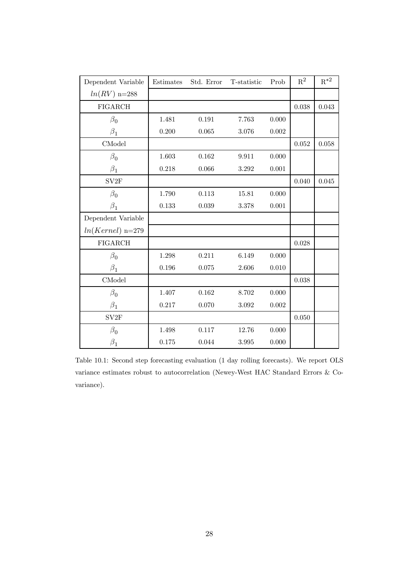| Dependent Variable                | Estimates | Std. Error | T-statistic | Prob  | $\mathbf{R}^2$ | $R^{*2}$ |
|-----------------------------------|-----------|------------|-------------|-------|----------------|----------|
| $ln(RV)$ n=288                    |           |            |             |       |                |          |
| <b>FIGARCH</b>                    |           |            |             |       | 0.038          | 0.043    |
| $\beta_0$                         | 1.481     | 0.191      | 7.763       | 0.000 |                |          |
| $\beta_1$                         | 0.200     | 0.065      | 3.076       | 0.002 |                |          |
| CMode                             |           |            |             |       | 0.052          | 0.058    |
| $\beta_0$                         | 1.603     | 0.162      | 9.911       | 0.000 |                |          |
| $\beta_1$                         | 0.218     | 0.066      | $3.292\,$   | 0.001 |                |          |
| $\mathrm{S}\mathrm{V}2\mathrm{F}$ |           |            |             |       | 0.040          | 0.045    |
| $\beta_0$                         | 1.790     | 0.113      | 15.81       | 0.000 |                |          |
| $\beta_1$                         | 0.133     | 0.039      | 3.378       | 0.001 |                |          |
| Dependent Variable                |           |            |             |       |                |          |
| $ln(Kernel)$ n=279                |           |            |             |       |                |          |
| <b>FIGARCH</b>                    |           |            |             |       | 0.028          |          |
| $\beta_0$                         | 1.298     | 0.211      | 6.149       | 0.000 |                |          |
| $\beta_1$                         | 0.196     | 0.075      | 2.606       | 0.010 |                |          |
| CMode                             |           |            |             |       | 0.038          |          |
| $\beta_0$                         | 1.407     | 0.162      | 8.702       | 0.000 |                |          |
| $\beta_1$                         | 0.217     | 0.070      | 3.092       | 0.002 |                |          |
| SV2F                              |           |            |             |       | 0.050          |          |
| $\beta_0$                         | 1.498     | 0.117      | 12.76       | 0.000 |                |          |
| $\beta_1$                         | 0.175     | 0.044      | 3.995       | 0.000 |                |          |

Table 10.1: Second step forecasting evaluation (1 day rolling forecasts). We report OLS variance estimates robust to autocorrelation (Newey-West HAC Standard Errors & Covariance).